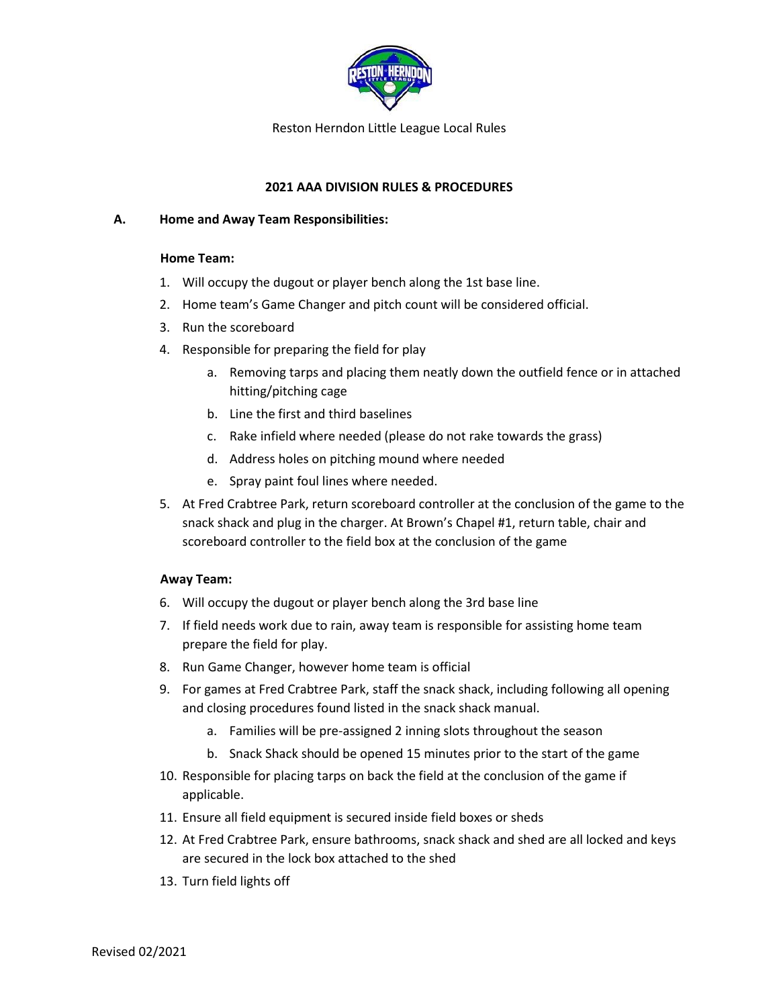

### **2021 AAA DIVISION RULES & PROCEDURES**

### **A. Home and Away Team Responsibilities:**

#### **Home Team:**

- 1. Will occupy the dugout or player bench along the 1st base line.
- 2. Home team's Game Changer and pitch count will be considered official.
- 3. Run the scoreboard
- 4. Responsible for preparing the field for play
	- a. Removing tarps and placing them neatly down the outfield fence or in attached hitting/pitching cage
	- b. Line the first and third baselines
	- c. Rake infield where needed (please do not rake towards the grass)
	- d. Address holes on pitching mound where needed
	- e. Spray paint foul lines where needed.
- 5. At Fred Crabtree Park, return scoreboard controller at the conclusion of the game to the snack shack and plug in the charger. At Brown's Chapel #1, return table, chair and scoreboard controller to the field box at the conclusion of the game

### **Away Team:**

- 6. Will occupy the dugout or player bench along the 3rd base line
- 7. If field needs work due to rain, away team is responsible for assisting home team prepare the field for play.
- 8. Run Game Changer, however home team is official
- 9. For games at Fred Crabtree Park, staff the snack shack, including following all opening and closing procedures found listed in the snack shack manual.
	- a. Families will be pre-assigned 2 inning slots throughout the season
	- b. Snack Shack should be opened 15 minutes prior to the start of the game
- 10. Responsible for placing tarps on back the field at the conclusion of the game if applicable.
- 11. Ensure all field equipment is secured inside field boxes or sheds
- 12. At Fred Crabtree Park, ensure bathrooms, snack shack and shed are all locked and keys are secured in the lock box attached to the shed
- 13. Turn field lights off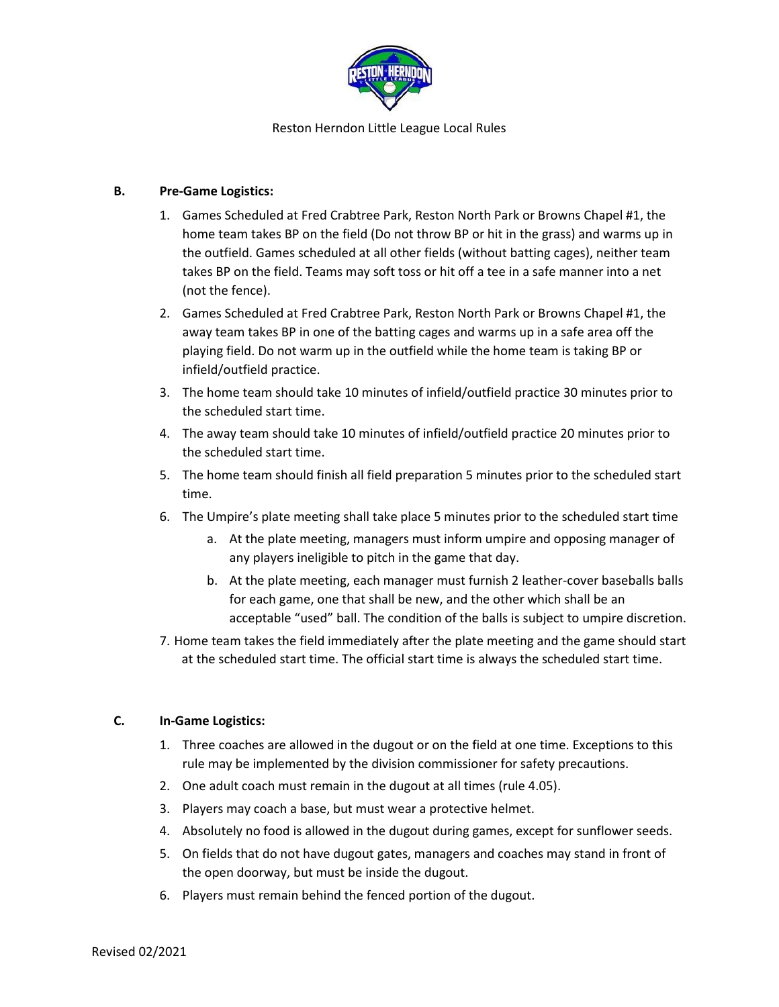

### **B. Pre-Game Logistics:**

- 1. Games Scheduled at Fred Crabtree Park, Reston North Park or Browns Chapel #1, the home team takes BP on the field (Do not throw BP or hit in the grass) and warms up in the outfield. Games scheduled at all other fields (without batting cages), neither team takes BP on the field. Teams may soft toss or hit off a tee in a safe manner into a net (not the fence).
- 2. Games Scheduled at Fred Crabtree Park, Reston North Park or Browns Chapel #1, the away team takes BP in one of the batting cages and warms up in a safe area off the playing field. Do not warm up in the outfield while the home team is taking BP or infield/outfield practice.
- 3. The home team should take 10 minutes of infield/outfield practice 30 minutes prior to the scheduled start time.
- 4. The away team should take 10 minutes of infield/outfield practice 20 minutes prior to the scheduled start time.
- 5. The home team should finish all field preparation 5 minutes prior to the scheduled start time.
- 6. The Umpire's plate meeting shall take place 5 minutes prior to the scheduled start time
	- a. At the plate meeting, managers must inform umpire and opposing manager of any players ineligible to pitch in the game that day.
	- b. At the plate meeting, each manager must furnish 2 leather-cover baseballs balls for each game, one that shall be new, and the other which shall be an acceptable "used" ball. The condition of the balls is subject to umpire discretion.
- 7. Home team takes the field immediately after the plate meeting and the game should start at the scheduled start time. The official start time is always the scheduled start time.

# **C. In-Game Logistics:**

- 1. Three coaches are allowed in the dugout or on the field at one time. Exceptions to this rule may be implemented by the division commissioner for safety precautions.
- 2. One adult coach must remain in the dugout at all times (rule 4.05).
- 3. Players may coach a base, but must wear a protective helmet.
- 4. Absolutely no food is allowed in the dugout during games, except for sunflower seeds.
- 5. On fields that do not have dugout gates, managers and coaches may stand in front of the open doorway, but must be inside the dugout.
- 6. Players must remain behind the fenced portion of the dugout.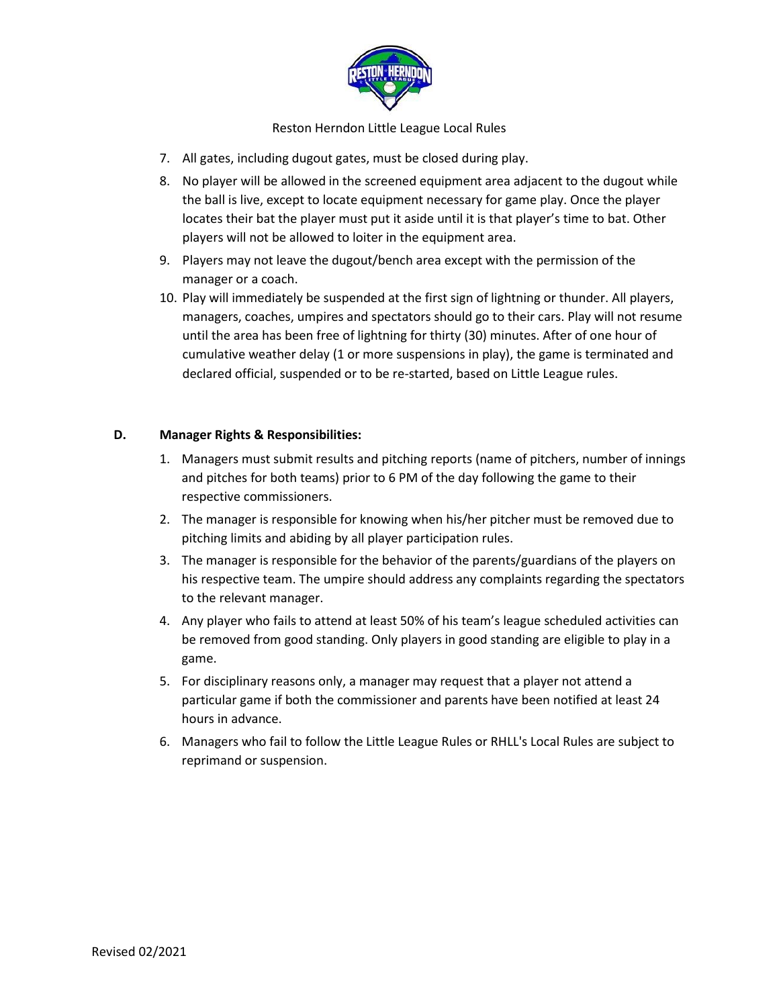

- 7. All gates, including dugout gates, must be closed during play.
- 8. No player will be allowed in the screened equipment area adjacent to the dugout while the ball is live, except to locate equipment necessary for game play. Once the player locates their bat the player must put it aside until it is that player's time to bat. Other players will not be allowed to loiter in the equipment area.
- 9. Players may not leave the dugout/bench area except with the permission of the manager or a coach.
- 10. Play will immediately be suspended at the first sign of lightning or thunder. All players, managers, coaches, umpires and spectators should go to their cars. Play will not resume until the area has been free of lightning for thirty (30) minutes. After of one hour of cumulative weather delay (1 or more suspensions in play), the game is terminated and declared official, suspended or to be re-started, based on Little League rules.

## **D. Manager Rights & Responsibilities:**

- 1. Managers must submit results and pitching reports (name of pitchers, number of innings and pitches for both teams) prior to 6 PM of the day following the game to their respective commissioners.
- 2. The manager is responsible for knowing when his/her pitcher must be removed due to pitching limits and abiding by all player participation rules.
- 3. The manager is responsible for the behavior of the parents/guardians of the players on his respective team. The umpire should address any complaints regarding the spectators to the relevant manager.
- 4. Any player who fails to attend at least 50% of his team's league scheduled activities can be removed from good standing. Only players in good standing are eligible to play in a game.
- 5. For disciplinary reasons only, a manager may request that a player not attend a particular game if both the commissioner and parents have been notified at least 24 hours in advance.
- 6. Managers who fail to follow the Little League Rules or RHLL's Local Rules are subject to reprimand or suspension.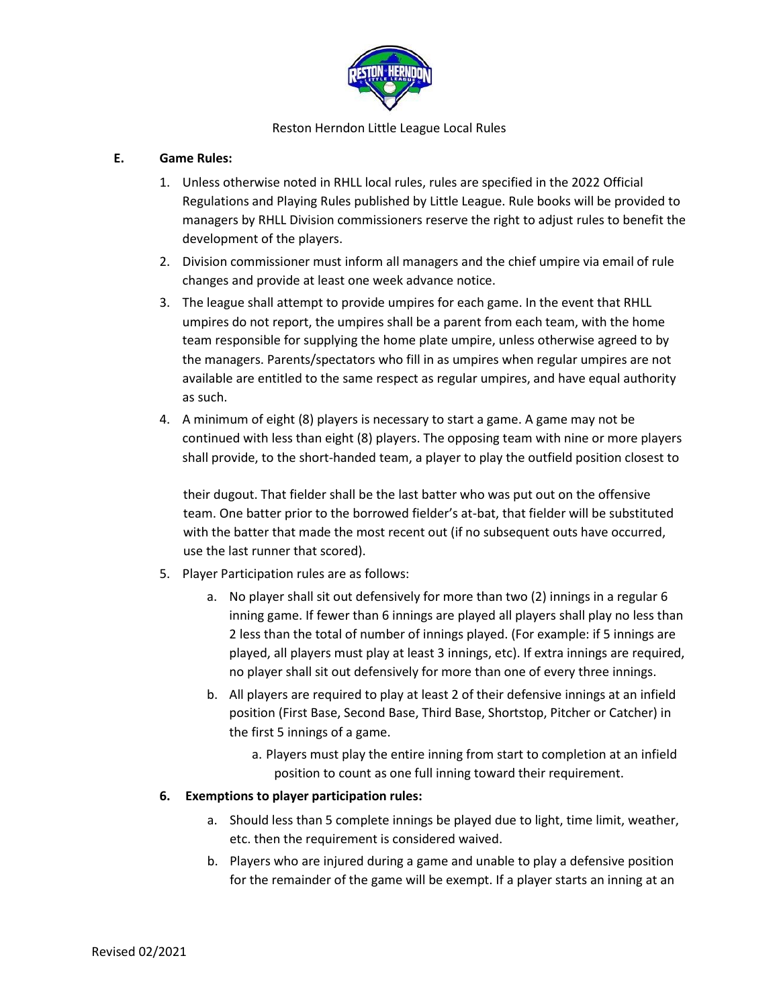

## **E. Game Rules:**

- 1. Unless otherwise noted in RHLL local rules, rules are specified in the 2022 Official Regulations and Playing Rules published by Little League. Rule books will be provided to managers by RHLL Division commissioners reserve the right to adjust rules to benefit the development of the players.
- 2. Division commissioner must inform all managers and the chief umpire via email of rule changes and provide at least one week advance notice.
- 3. The league shall attempt to provide umpires for each game. In the event that RHLL umpires do not report, the umpires shall be a parent from each team, with the home team responsible for supplying the home plate umpire, unless otherwise agreed to by the managers. Parents/spectators who fill in as umpires when regular umpires are not available are entitled to the same respect as regular umpires, and have equal authority as such.
- 4. A minimum of eight (8) players is necessary to start a game. A game may not be continued with less than eight (8) players. The opposing team with nine or more players shall provide, to the short-handed team, a player to play the outfield position closest to

their dugout. That fielder shall be the last batter who was put out on the offensive team. One batter prior to the borrowed fielder's at-bat, that fielder will be substituted with the batter that made the most recent out (if no subsequent outs have occurred, use the last runner that scored).

- 5. Player Participation rules are as follows:
	- a. No player shall sit out defensively for more than two (2) innings in a regular 6 inning game. If fewer than 6 innings are played all players shall play no less than 2 less than the total of number of innings played. (For example: if 5 innings are played, all players must play at least 3 innings, etc). If extra innings are required, no player shall sit out defensively for more than one of every three innings.
	- b. All players are required to play at least 2 of their defensive innings at an infield position (First Base, Second Base, Third Base, Shortstop, Pitcher or Catcher) in the first 5 innings of a game.
		- a. Players must play the entire inning from start to completion at an infield position to count as one full inning toward their requirement.
- **6. Exemptions to player participation rules:** 
	- a. Should less than 5 complete innings be played due to light, time limit, weather, etc. then the requirement is considered waived.
	- b. Players who are injured during a game and unable to play a defensive position for the remainder of the game will be exempt. If a player starts an inning at an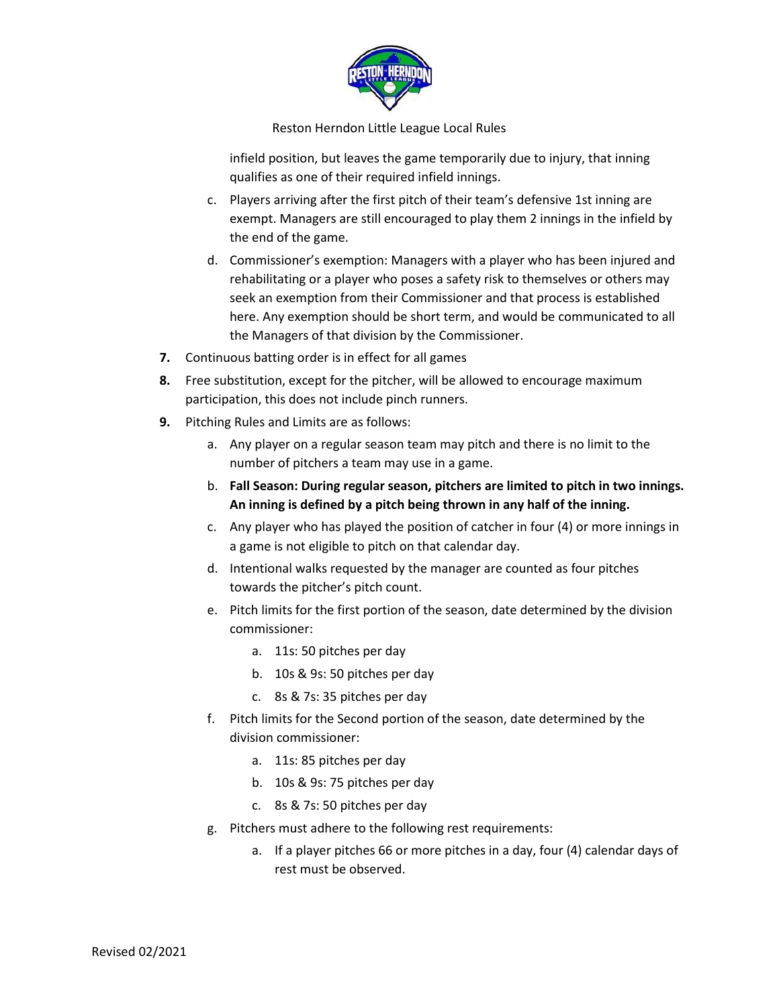

infield position, but leaves the game temporarily due to injury, that inning qualifies as one of their required infield innings.

- c. Players arriving after the first pitch of their team's defensive 1st inning are exempt. Managers are still encouraged to play them 2 innings in the infield by the end of the game.
- d. Commissioner's exemption: Managers with a player who has been injured and rehabilitating or a player who poses a safety risk to themselves or others may seek an exemption from their Commissioner and that process is established here. Any exemption should be short term, and would be communicated to all the Managers of that division by the Commissioner.
- **7.** Continuous batting order is in effect for all games
- **8.** Free substitution, except for the pitcher, will be allowed to encourage maximum participation, this does not include pinch runners.
- **9.** Pitching Rules and Limits are as follows:
	- a. Any player on a regular season team may pitch and there is no limit to the number of pitchers a team may use in a game.
	- b. **Fall Season: During regular season, pitchers are limited to pitch in two innings. An inning is defined by a pitch being thrown in any half of the inning.**
	- c. Any player who has played the position of catcher in four (4) or more innings in a game is not eligible to pitch on that calendar day.
	- d. Intentional walks requested by the manager are counted as four pitches towards the pitcher's pitch count.
	- e. Pitch limits for the first portion of the season, date determined by the division commissioner:
		- a. 11s: 50 pitches per day
		- b. 10s & 9s: 50 pitches per day
		- c. 8s & 7s: 35 pitches per day
	- f. Pitch limits for the Second portion of the season, date determined by the division commissioner:
		- a. 11s: 85 pitches per day
		- b. 10s & 9s: 75 pitches per day
		- c. 8s & 7s: 50 pitches per day
	- g. Pitchers must adhere to the following rest requirements:
		- a. If a player pitches 66 or more pitches in a day, four (4) calendar days of rest must be observed.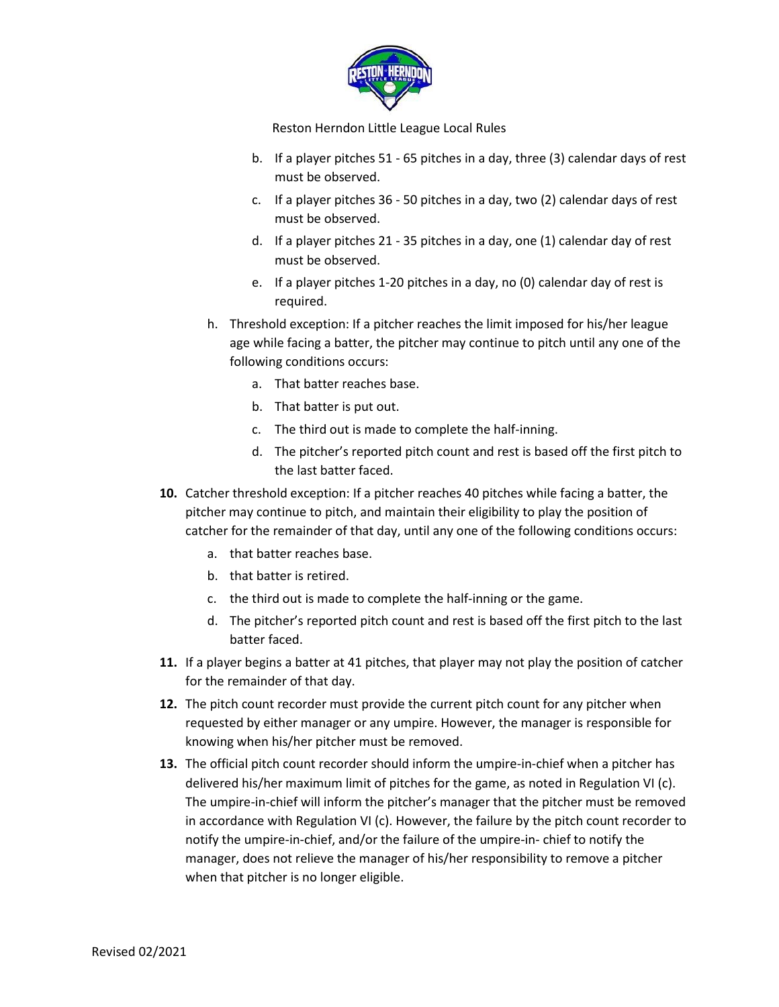

- b. If a player pitches 51 65 pitches in a day, three (3) calendar days of rest must be observed.
- c. If a player pitches 36 50 pitches in a day, two (2) calendar days of rest must be observed.
- d. If a player pitches 21 35 pitches in a day, one (1) calendar day of rest must be observed.
- e. If a player pitches 1-20 pitches in a day, no (0) calendar day of rest is required.
- h. Threshold exception: If a pitcher reaches the limit imposed for his/her league age while facing a batter, the pitcher may continue to pitch until any one of the following conditions occurs:
	- a. That batter reaches base.
	- b. That batter is put out.
	- c. The third out is made to complete the half-inning.
	- d. The pitcher's reported pitch count and rest is based off the first pitch to the last batter faced.
- **10.** Catcher threshold exception: If a pitcher reaches 40 pitches while facing a batter, the pitcher may continue to pitch, and maintain their eligibility to play the position of catcher for the remainder of that day, until any one of the following conditions occurs:
	- a. that batter reaches base.
	- b. that batter is retired.
	- c. the third out is made to complete the half-inning or the game.
	- d. The pitcher's reported pitch count and rest is based off the first pitch to the last batter faced.
- **11.** If a player begins a batter at 41 pitches, that player may not play the position of catcher for the remainder of that day.
- **12.** The pitch count recorder must provide the current pitch count for any pitcher when requested by either manager or any umpire. However, the manager is responsible for knowing when his/her pitcher must be removed.
- **13.** The official pitch count recorder should inform the umpire-in-chief when a pitcher has delivered his/her maximum limit of pitches for the game, as noted in Regulation VI (c). The umpire-in-chief will inform the pitcher's manager that the pitcher must be removed in accordance with Regulation VI (c). However, the failure by the pitch count recorder to notify the umpire-in-chief, and/or the failure of the umpire-in- chief to notify the manager, does not relieve the manager of his/her responsibility to remove a pitcher when that pitcher is no longer eligible.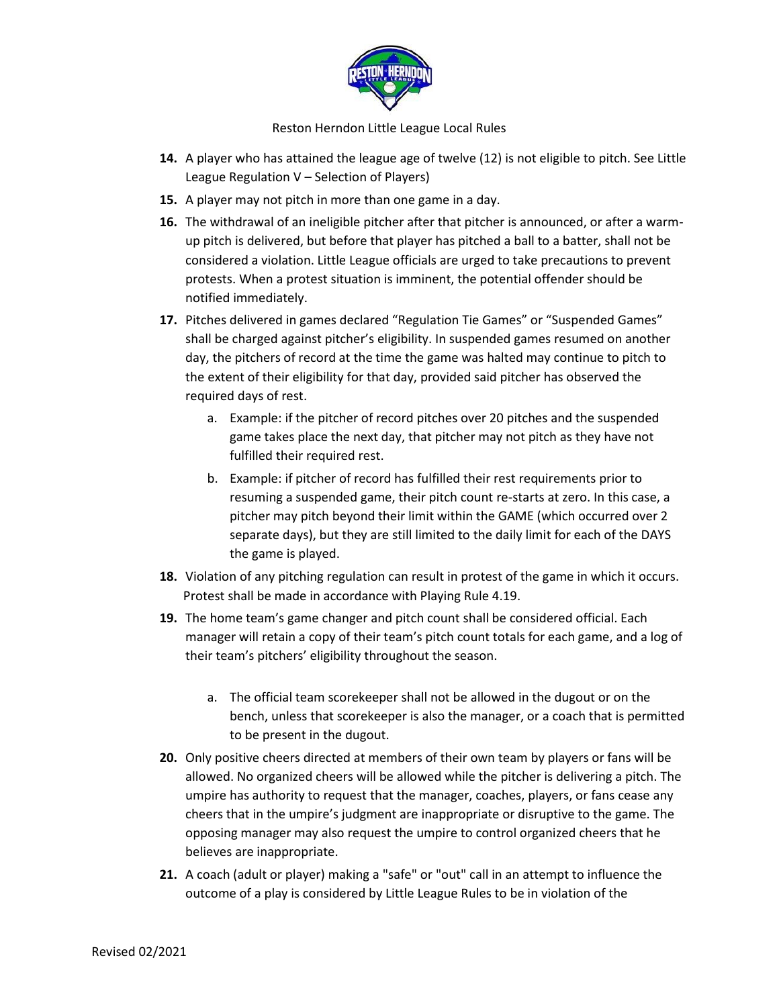

- **14.** A player who has attained the league age of twelve (12) is not eligible to pitch. See Little League Regulation V – Selection of Players)
- **15.** A player may not pitch in more than one game in a day.
- **16.** The withdrawal of an ineligible pitcher after that pitcher is announced, or after a warmup pitch is delivered, but before that player has pitched a ball to a batter, shall not be considered a violation. Little League officials are urged to take precautions to prevent protests. When a protest situation is imminent, the potential offender should be notified immediately.
- **17.** Pitches delivered in games declared "Regulation Tie Games" or "Suspended Games" shall be charged against pitcher's eligibility. In suspended games resumed on another day, the pitchers of record at the time the game was halted may continue to pitch to the extent of their eligibility for that day, provided said pitcher has observed the required days of rest.
	- a. Example: if the pitcher of record pitches over 20 pitches and the suspended game takes place the next day, that pitcher may not pitch as they have not fulfilled their required rest.
	- b. Example: if pitcher of record has fulfilled their rest requirements prior to resuming a suspended game, their pitch count re-starts at zero. In this case, a pitcher may pitch beyond their limit within the GAME (which occurred over 2 separate days), but they are still limited to the daily limit for each of the DAYS the game is played.
- **18.** Violation of any pitching regulation can result in protest of the game in which it occurs. Protest shall be made in accordance with Playing Rule 4.19.
- **19.** The home team's game changer and pitch count shall be considered official. Each manager will retain a copy of their team's pitch count totals for each game, and a log of their team's pitchers' eligibility throughout the season.
	- a. The official team scorekeeper shall not be allowed in the dugout or on the bench, unless that scorekeeper is also the manager, or a coach that is permitted to be present in the dugout.
- **20.** Only positive cheers directed at members of their own team by players or fans will be allowed. No organized cheers will be allowed while the pitcher is delivering a pitch. The umpire has authority to request that the manager, coaches, players, or fans cease any cheers that in the umpire's judgment are inappropriate or disruptive to the game. The opposing manager may also request the umpire to control organized cheers that he believes are inappropriate.
- **21.** A coach (adult or player) making a "safe" or "out" call in an attempt to influence the outcome of a play is considered by Little League Rules to be in violation of the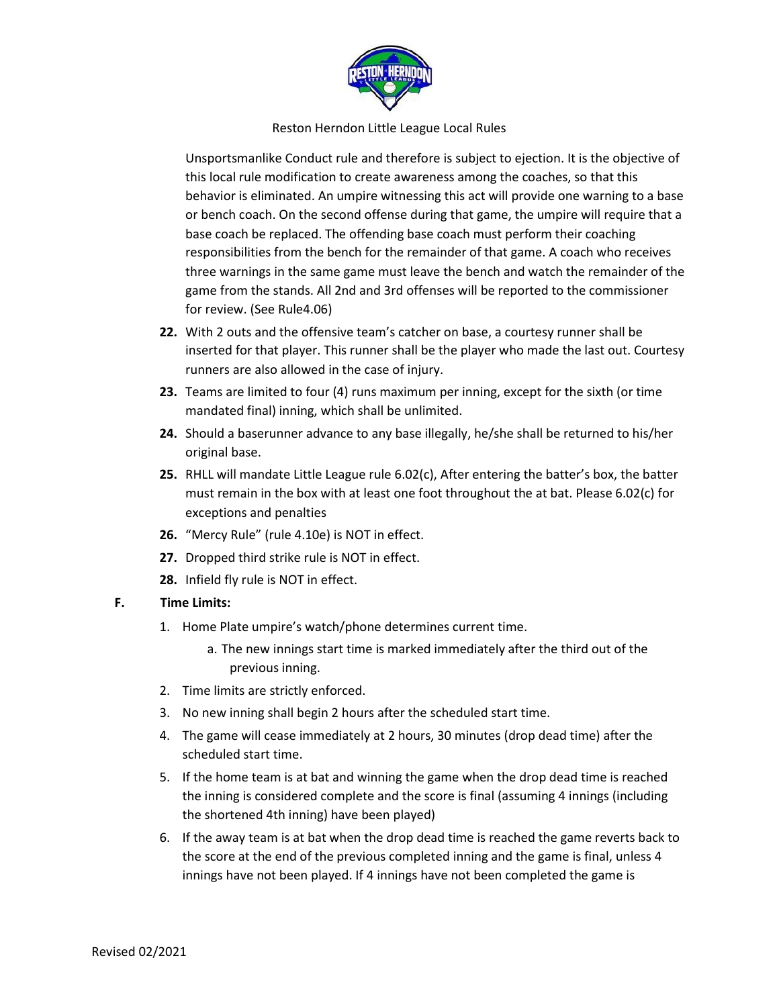

Unsportsmanlike Conduct rule and therefore is subject to ejection. It is the objective of this local rule modification to create awareness among the coaches, so that this behavior is eliminated. An umpire witnessing this act will provide one warning to a base or bench coach. On the second offense during that game, the umpire will require that a base coach be replaced. The offending base coach must perform their coaching responsibilities from the bench for the remainder of that game. A coach who receives three warnings in the same game must leave the bench and watch the remainder of the game from the stands. All 2nd and 3rd offenses will be reported to the commissioner for review. (See Rule4.06)

- **22.** With 2 outs and the offensive team's catcher on base, a courtesy runner shall be inserted for that player. This runner shall be the player who made the last out. Courtesy runners are also allowed in the case of injury.
- **23.** Teams are limited to four (4) runs maximum per inning, except for the sixth (or time mandated final) inning, which shall be unlimited.
- **24.** Should a baserunner advance to any base illegally, he/she shall be returned to his/her original base.
- **25.** RHLL will mandate Little League rule 6.02(c), After entering the batter's box, the batter must remain in the box with at least one foot throughout the at bat. Please 6.02(c) for exceptions and penalties
- **26.** "Mercy Rule" (rule 4.10e) is NOT in effect.
- **27.** Dropped third strike rule is NOT in effect.
- **28.** Infield fly rule is NOT in effect.
- **F. Time Limits:** 
	- 1. Home Plate umpire's watch/phone determines current time.
		- a. The new innings start time is marked immediately after the third out of the previous inning.
	- 2. Time limits are strictly enforced.
	- 3. No new inning shall begin 2 hours after the scheduled start time.
	- 4. The game will cease immediately at 2 hours, 30 minutes (drop dead time) after the scheduled start time.
	- 5. If the home team is at bat and winning the game when the drop dead time is reached the inning is considered complete and the score is final (assuming 4 innings (including the shortened 4th inning) have been played)
	- 6. If the away team is at bat when the drop dead time is reached the game reverts back to the score at the end of the previous completed inning and the game is final, unless 4 innings have not been played. If 4 innings have not been completed the game is